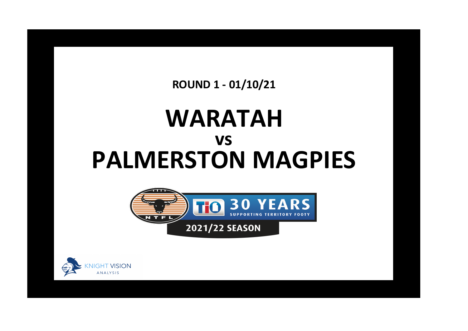ROUND 1 - 01/10/21

## **WARATAH VS PALMERSTON MAGPIES**



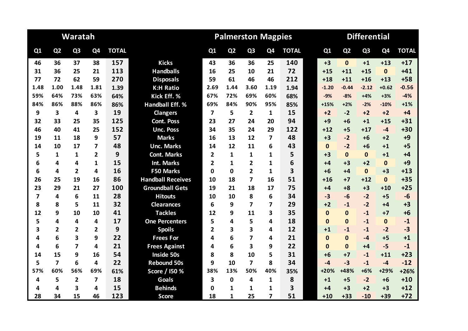|      |                         | Waratah                 |                         |              |                          |                         | <b>Palmerston Magpies</b> |                |                |              | <b>Differential</b> |              |                |                |                |              |
|------|-------------------------|-------------------------|-------------------------|--------------|--------------------------|-------------------------|---------------------------|----------------|----------------|--------------|---------------------|--------------|----------------|----------------|----------------|--------------|
| Q1   | Q <sub>2</sub>          | Q <sub>3</sub>          | Q4                      | <b>TOTAL</b> |                          | Q1                      | Q2                        | Q <sub>3</sub> | Q <sub>4</sub> | <b>TOTAL</b> |                     | Q1           | Q <sub>2</sub> | Q <sub>3</sub> | Q <sub>4</sub> | <b>TOTAL</b> |
| 46   | 36                      | 37                      | 38                      | 157          | <b>Kicks</b>             | 43                      | 36                        | 36             | 25             | 140          |                     | $+3$         | $\mathbf{0}$   | $+1$           | $+13$          | $+17$        |
| 31   | 36                      | 25                      | 21                      | 113          | <b>Handballs</b>         | 16                      | 25                        | 10             | 21             | 72           |                     | $+15$        | $+11$          | $+15$          | $\mathbf{0}$   | $+41$        |
| 77   | 72                      | 62                      | 59                      | 270          | <b>Disposals</b>         | 59                      | 61                        | 46             | 46             | 212          |                     | $+18$        | $+11$          | $+16$          | $+13$          | $+58$        |
| 1.48 | 1.00                    | 1.48                    | 1.81                    | 1.39         | <b>K:H Ratio</b>         | 2.69                    | 1.44                      | 3.60           | 1.19           | 1.94         |                     | $-1.20$      | $-0.44$        | $-2.12$        | $+0.62$        | $-0.56$      |
| 59%  | 64%                     | 73%                     | 63%                     | 64%          | Kick Eff. %              | 67%                     | 72%                       | 69%            | 60%            | 68%          |                     | -9%          | $-8%$          | $+4%$          | $+3%$          | $-4%$        |
| 84%  | 86%                     | 88%                     | 86%                     | 86%          | <b>Handball Eff. %</b>   | 69%                     | 84%                       | 90%            | 95%            | 85%          |                     | $+15%$       | $+2%$          | $-2%$          | $-10%$         | $+1%$        |
| 9    | 3                       | 4                       | $\overline{\mathbf{3}}$ | 19           | <b>Clangers</b>          | $\overline{\mathbf{z}}$ | 5                         | $\overline{2}$ | $\mathbf{1}$   | 15           |                     | $+2$         | $-2$           | $+2$           | $+2$           | $+4$         |
| 32   | 33                      | 25                      | 35                      | 125          | <b>Cont. Poss</b>        | 23                      | 27                        | 24             | 20             | 94           |                     | $+9$         | $+6$           | $+1$           | $+15$          | $+31$        |
| 46   | 40                      | 41                      | 25                      | 152          | <b>Unc. Poss</b>         | 34                      | 35                        | 24             | 29             | 122          |                     | $+12$        | $+5$           | $+17$          | $-4$           | $+30$        |
| 19   | 11                      | 18                      | 9                       | 57           | <b>Marks</b>             | 16                      | 13                        | 12             | 7              | 48           |                     | $+3$         | $-2$           | $+6$           | $+2$           | $+9$         |
| 14   | 10                      | 17                      | $\overline{7}$          | 48           | <b>Unc. Marks</b>        | 14                      | 12                        | 11             | 6              | 43           |                     | $\mathbf{0}$ | $-2$           | $+6$           | $+1$           | $+5$         |
| 5    | 1                       | 1                       | $\overline{2}$          | 9            | <b>Cont. Marks</b>       | $\overline{2}$          | 1                         | 1              | 1              | 5            |                     | $+3$         | $\bf{0}$       | $\mathbf{0}$   | $+1$           | $+4$         |
| 6    | 4                       | 4                       | 1                       | 15           | <b>Int. Marks</b>        | $\overline{2}$          | $\mathbf{1}$              | $\overline{2}$ | 1              | 6            |                     | $+4$         | $+3$           | $+2$           | $\mathbf{0}$   | $+9$         |
| 6    | 4                       | $\overline{2}$          | 4                       | 16           | <b>F50 Marks</b>         | $\Omega$                | $\Omega$                  | $\overline{2}$ | 1              | 3            |                     | $+6$         | $+4$           | $\mathbf{0}$   | $+3$           | $+13$        |
| 26   | 25                      | 19                      | 16                      | 86           | <b>Handball Receives</b> | 10                      | 18                        | $\overline{7}$ | 16             | 51           |                     | $+16$        | $+7$           | $+12$          | $\mathbf{0}$   | $+35$        |
| 23   | 29                      | 21                      | 27                      | 100          | <b>Groundball Gets</b>   | 19                      | 21                        | 18             | 17             | 75           |                     | $+4$         | $+8$           | $+3$           | $+10$          | $+25$        |
| 7    | 4                       | 6                       | 11                      | 28           | <b>Hitouts</b>           | 10                      | 10                        | 8              | 6              | 34           |                     | $-3$         | $-6$           | $-2$           | $+5$           | $-6$         |
| 8    | 8                       | 5                       | 11                      | 32           | <b>Clearances</b>        | 6                       | 9                         | 7              | 7              | 29           |                     | $+2$         | $-1$           | $-2$           | $+4$           | $+3$         |
| 12   | 9                       | 10                      | 10                      | 41           | <b>Tackles</b>           | 12                      | 9                         | 11             | 3              | 35           |                     | $\mathbf{0}$ | $\Omega$       | $-1$           | $+7$           | $+6$         |
| 5    | 4                       | 4                       | 4                       | 17           | <b>One Percenters</b>    | 5                       | 4                         | 5              | 4              | 18           |                     | $\mathbf{0}$ | $\mathbf{0}$   | $-1$           | $\mathbf{0}$   | $-1$         |
| 3    | $\overline{\mathbf{c}}$ | $\overline{2}$          | $\overline{2}$          | 9            | <b>Spoils</b>            | $\overline{2}$          | 3                         | 3              | 4              | 12           |                     | $+1$         | $-1$           | $-1$           | $-2$           | $-3$         |
| 4    | 6                       | $\overline{\mathbf{3}}$ | 9                       | 22           | <b>Frees For</b>         | 4                       | 6                         | 7              | 4              | 21           |                     | $\Omega$     | $\Omega$       | -4             | $+5$           | $+1$         |
| 4    | 6                       | $\overline{\mathbf{z}}$ | 4                       | 21           | <b>Frees Against</b>     | 4                       | 6                         | 3              | 9              | 22           |                     | $\bf{0}$     | $\mathbf{0}$   | +4             | $-5$           | $-1$         |
| 14   | 15                      | 9                       | 16                      | 54           | <b>Inside 50s</b>        | 8                       | 8                         | 10             | 5              | 31           |                     | $+6$         | $+7$           | $-1$           | $+11$          | $+23$        |
| 5    | $\overline{\mathbf{z}}$ | 6                       | 4                       | 22           | <b>Rebound 50s</b>       | 9                       | 10                        | 7              | 8              | 34           |                     | $-4$         | $-3$           | $-1$           | $-4$           | $-12$        |
| 57%  | 60%                     | 56%                     | 69%                     | 61%          | Score / I50 %            | 38%                     | 13%                       | 50%            | 40%            | 35%          |                     | $+20%$       | +48%           | $+6%$          | +29%           | $+26%$       |
| 4    | 5                       | $\overline{2}$          | $\overline{\mathbf{z}}$ | 18           | Goals                    | 3                       | $\mathbf 0$               | 4              | 1              | 8            |                     | $+1$         | $+5$           | $-2$           | $+6$           | $+10$        |
| 4    | 4                       | 3                       | 4                       | 15           | <b>Behinds</b>           | 0                       | 1                         | 1              | 1              | 3            |                     | $+4$         | $+3$           | $+2$           | $+3$           | $+12$        |
| 28   | 34                      | 15                      | 46                      | 123          | <b>Score</b>             | 18                      | 1                         | 25             | $\overline{7}$ | 51           |                     | $+10$        | $+33$          | $-10$          | $+39$          | $+72$        |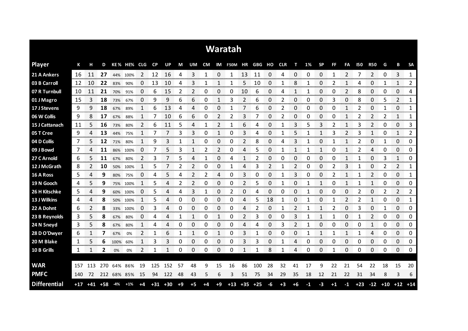|                     |     |                   |              |             |             |                   |           |       |      |                     |      |             | <b>Waratah</b>           |                |       |                 |      |          |      |           |      |                |            |                      |       |                    |                          |
|---------------------|-----|-------------------|--------------|-------------|-------------|-------------------|-----------|-------|------|---------------------|------|-------------|--------------------------|----------------|-------|-----------------|------|----------|------|-----------|------|----------------|------------|----------------------|-------|--------------------|--------------------------|
| <b>Player</b>       | К   | н                 | D            |             | KE% HE% CLG |                   | <b>CP</b> | UP    | М    | UM                  |      |             | CM IM F50M HR GBG HO CLR |                |       |                 |      | т        | 1%   | <b>SP</b> | FF   | FA             | <b>I50</b> | <b>R50</b>           | G     | В                  | <b>SA</b>                |
| 21 A Ankers         | 16  | 11                | 27           | 44%         | 100%        | 2                 | 12        | 16    | 4    | 3                   | 1    | 0           |                          | 13             | 11    | 0               | 4    | 0        | 0    | 0         |      | 2              |            | 2                    | 0     | 3                  | 1                        |
| 03 B Carroll        | 12  | 10                | 22           | 83%         | 90%         | 0                 | 13        | 10    | 4    | 3                   |      |             |                          | 5              | 10    | 0               |      | 8        | 1    | 0         | 2    | 1              | 4          | 0                    |       | 1                  | 2                        |
| 07 R Turnbull       | 10  | 11                | 21           | 70%         | 91%         | 0                 | 6         | 15    | 2    | 2                   | 0    | 0           | 0                        | 10             | 6     | 0               | 4    | 1        |      | 0         | 0    | 2              | 8          | 0                    | 0     | 0                  | 4                        |
| 01 J Magro          | 15  | 3                 | 18           | 73%         | 67%         | 0                 | 9         | 9     | 6    | 6                   | 0    | 1           | 3                        | 2              | 6     | 0               | 2    | 0        | 0    | 0         | 3    | 0              | 8          | 0                    | 5     | 2                  | 1                        |
| 17 J Stevens        | 9   | 9                 | 18           | 67%         | 89%         | 1                 | 6         | 13    | 4    | 4                   | 0    | $\Omega$    |                          | 7              | 6     | 0               | 2    | $\Omega$ | 0    | 0         | 0    | 1              | 2          | 0                    | 1     | 0                  | 1                        |
| 06 W Collis         | 9   | 8                 | 17           | 67%         | 88%         |                   | 7         | 10    | 6    | 6                   | 0    | 2           | 2                        | 3              |       | 0               | 2    | 0        | 0    | 0         | 0    | 1              | 2          | $\overline{2}$       | 2     | 1                  | 1                        |
| 15 J Cattanach      | 11  | 5                 | 16           | 73%         | 80%         | 2                 | 6         | 11    | 5    | 4                   | 1    | 2           |                          | 6              | 4     | 0               |      | 3        | 5    | 3         | 2    | 1              | 3          | $\overline{2}$       | 0     | 0                  | 3                        |
| 05 T Cree           | 9   | 4                 | 13           | 44%         | 75%         | 1                 | 7         | 7     | 3    | 3                   | 0    | 1           | 0                        | 3              | 4     | 0               |      | 5        | 1    | 1         | 3    | 2              | 3          | 1                    | 0     | 1                  | 2                        |
| 04 D Collis         | 7   | 5                 | 12           | 71%         | 80%         | 1                 | 9         | 3     | 1    | 1                   | 0    | $\mathbf 0$ | 0                        | $\overline{2}$ | 8     | 0               | 4    | 3        | 1    | 0         | 1    | $\mathbf{1}$   | 2          | 0                    | 1     | 0                  | 0                        |
| 09 J Bowd           | 7   | 4                 | 11           | 86%         | 100%        | 0                 | 7         | 5     | 3    | 1                   | 2    | 2           | 0                        | 4              | 5     | 0               |      | 1        | 1    | 1         | 0    | 1              | 2          | 4                    | 0     | 0                  | 0                        |
| 27 C Arnold         | 6   | 5                 | 11           | 67%         | 80%         | $\overline{2}$    | 3         |       | 5    | 4                   | 1    | 0           | 4                        | 1              | 2     | 0               | 0    | 0        | 0    | 0         | 0    | 1              |            | 0                    | 3     | 1                  | 0                        |
| 12 J McGrath        | 8   | $\mathcal{P}$     | 10           | 50%         | 100%        | 1                 | 5         |       | 2    | 2                   | 0    | 0           |                          | 4              | 3     | 2               |      | 2        | 0    | 0         | 2    | 3              |            | 0                    | 2     | 2                  | 1                        |
| 16 A Ross           | 5   | 4                 | 9            | 80%         | 75%         | 0                 | 4         | 5     | 4    | 2                   | 2    | 4           | 0                        | 3              | 0     | 0               |      | 3        | 0    | 0         | 2    | 1              |            | $\overline{2}$       | 0     | 0                  | 1                        |
| 19 N Gooch          | 4   | 5.                | 9            | 75%         | 100%        |                   | 5         | Δ     | 2    | 2                   | 0    | 0           | 0                        | 2              | 5     | 0               |      | 0        | 1    | 1         | 0    | 1              |            | 1                    | 0     | 0                  | 0                        |
| 26 H Kitschke       | 5   | 4                 | 9            | 60%         | 100%        | 0                 | 5         | 4     | 4    | 3                   | 1    | 0           | 2                        | O              | 4     | 0<br>an an an a | 0    | 0        |      | 0         | 0    | 0<br>nomence a | 2          | 0<br>anan meng       | 2     | 2<br>an an an an a | 2<br><b>The Contract</b> |
| 13 J Wilkins        | 4   | 4                 | 8            | 50%         | 100%        | <b>CONTRACTOR</b> | 5         | 4     | 0    | 0<br><b>Service</b> | 0    | 0<br>onomor | 0                        |                |       | 18              |      | 0        |      | 0         |      | 2              |            | 1<br><b>Services</b> | 0     | 0<br>monon.        | 1<br>mmon-               |
| 22 A Dohnt          | 6   | 2                 | 8            | 33%         | 100%        | 0                 | 3         | 4     | 0    | 0                   | 0    | 0           | 0                        | 4              | 2     | 0               |      | 2        | 1    |           | 2    | 0              | 3          | 0                    | 1     | 0                  | 0<br>ana araw            |
| 23 B Reynolds       | 3   | 5                 | 8            | 67%         | 80%         | 0                 | 4         |       |      | 1                   | 0    |             | 0                        | 2              | 3     | 0               | O    | 3        |      |           |      | 0              |            | 2                    | 0     | 0                  | 0                        |
| 24 N Sneyd          | 3   | 5                 | 8            | 67%         | 80%         | 1                 | 4         | 4     | 0    | 0                   | 0    | 0           | 0                        | 4              | 4     | 0               | 3    | 2        |      | 0         | 0    | 0              | O          | 1                    | 0     | 0                  | 0                        |
| 28 D O'Dwyer        | 6   |                   | 7            | 67%         | 0%          | 2                 | 1         | 6     | 1    | 1                   | 0    | 1           | 0                        | 3              | 1     | 0               | 0    | 0        | 1    | 1         |      | 1              | 1          | 4                    | 0     | 0                  | 0                        |
| 20 M Blake          | 1   | 5                 | 6            | 100%        | 60%         | 1                 | 3         | 3     | 0    | 0                   | 0    | 0           | 0                        | 3              | 3     | 0               | 1    | 4        | 0    | 0         | 0    | 0              | 0          | 0                    | 0     | 0                  | 0                        |
| 10 B Grills         | 1   | 1                 | $\mathbf{2}$ | 0%          | 0%          | 2                 | 1         | 1     | 0    | 0                   | 0    | 0           | 0                        | 1              | 1     | 8               | 1    | 4        | 0    | 0         | -1   | 0              | 0          | 0                    | 0     | 0                  | 0                        |
|                     |     |                   |              |             |             |                   |           |       |      |                     |      |             |                          |                |       |                 |      |          |      |           |      |                |            |                      |       |                    |                          |
| <b>WAR</b>          | 157 | 113               | 270          | 64%         | 86%         | 19                | 125       | 152   | 57   | 48                  | 9    | 15          | 16                       | 86             | 100   | 28              | 32   | 41       | 17   | 9         | 22   | 21             | 54         | 22                   | 18    | 15                 | 20                       |
| <b>PMFC</b>         | 140 | 72                |              | 212 68% 85% |             | 15                | 94        | 122   | 48   | 43                  | 5    | 6           | 3                        | 51             | 75    | 34              | 29   | 35       | 18   | 12        | 21   | 22             | 31         | 34                   | 8     | 3                  | 6                        |
| <b>Differential</b> |     | $+17$ $+41$ $+58$ |              | -4%         | $+1%$       | $+4$              | $+31$     | $+30$ | $+9$ | $+5$                | $+4$ | $+9$        | $+13$                    | $+35$          | $+25$ | $-6$            | $+3$ | $+6$     | $-1$ | -3        | $+1$ | $-1$           | $+23$      | $-12$                | $+10$ | $+12$              | $+14$                    |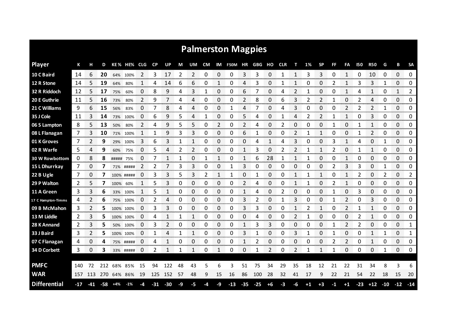|                       |       |       |     |           |            |      |           |     |    |    |           |           | <b>Palmerston Magpies</b> |       |       |      |     |              |      |                |    |                |       |                      |    |       |                      |
|-----------------------|-------|-------|-----|-----------|------------|------|-----------|-----|----|----|-----------|-----------|---------------------------|-------|-------|------|-----|--------------|------|----------------|----|----------------|-------|----------------------|----|-------|----------------------|
| <b>Player</b>         | К     |       | D   |           | KE % HE%   | CLG. | <b>CP</b> | UP  | М  | UM | <b>CM</b> |           | IM F50M HR GBG HO         |       |       |      | CLR |              | 1%   | <b>SP</b>      | FF | FА             | 150   | <b>R50</b>           | G  | B     | <b>SA</b>            |
| 10 C Baird            | 14    | 6     | 20  | 64%       | 100%       | 2    | 3         | 17  | 2  | 2  | 0         | 0         | 0                         | 3     | 3     | 0    | 1   | 1            | 3    | 3              | 0  | 1              | 0     | 10                   | 0  | 0     | 0                    |
| 12 R Stone            | 14    | 5     | 19  | 64%       | 80%        | 1    | 4         | 14  | 6  | 6  | 0         | 1         | 0                         | 4     | 3     | 0    | 1   | 1            | 0    | 0              | 2  | 1              | 3     | 3                    | 1  | 0     | 0                    |
| 32 R Riddoch          | 12    | 5     | 17  | 75%       | 60%        | 0    | 8         | 9   | 4  | 3  | 1         | 0         | 0                         | 6     |       | 0    | 4   | 2            | 1    | 0              | 0  | 1              | 4     | $\mathbf{1}$         | 0  | 1     | 2                    |
| 20 E Guthrie          | 11    | 5     | 16  | 73%       | 80%        | 2    | 9         | 7   | 4  | 4  | 0         | 0         | 0                         | 2     | 8     | 0    | 6   | 3            | 2    | 2              | 1  | 0              | 2     | 4                    | 0  | 0     | 0                    |
| 21 C Williams         | 9     | 6     | 15  | 56%       | 83%        | 0    | 7         | 8   | 4  | 4  | 0         | 0         | 1                         | 4     |       | 0    | 4   | 3            | 0    | 0              | 0  | $\overline{2}$ | 2     | $\overline{2}$       | 1  | 0     | 0                    |
| 35 J Cole             | 11    | 3     | 14  | 73%       | 100%       | 0    | 6         | 9   | 5  | 4  | 1         | 0         | 0                         | 5     | 4     | 0    | 1   | 4            | 2    | $\overline{2}$ | 1  | $\mathbf{1}$   | 0     | 3                    | 0  | 0     | 0                    |
| 06 S Lampton          | 8     | 5     | 13  | 50%       | 80%        |      | 4         | 9   | 5  | 5  | 0         | 2         | 0                         | 2     | 4     | 0    |     | 0            | 0    | 0              |    | 0              |       | 1                    | 0  | 0     | 0                    |
| 08 L Flanagan         | 7     | 3     | 10  | 71%       | 100%       | 1    | 1         | 9   | 3  | 3  | 0         | 0         | 0                         | 6     | 1     | 0    | 0   | 2            | 1    | 1              | 0  | 0              | 1     | 2                    | 0  | 0     | 0                    |
| 01 K Groves           | 7     | 2     | 9   |           | 29% 100%   | 3    | 6         | 3   | 1  | 1  | 0         | 0         | 0                         | 0     | 4     | 1    | 4   | 3            | 0    | 0              | 3  | 1              | Δ     | 0                    | 1  | 0     | 0                    |
| 02 R Warfe            | 5.    | 4     | 9   | 60%       | 75%        | 0    | 5         | 4   | 2  | 2  | 0         | 0         | 0                         | 1     | 3     | 0    | 2   | 2            | -1   | 1              | 2  | 0              | 1     | 1                    | 0  | 0     | 0                    |
| <b>30 W Rowbottom</b> | 0     | 8     | 8   | ##### 75% |            | 0    |           |     | 1  | 0  | 1         |           | 0                         |       | 6     | 28   |     | 1            | 1    | 0              | 0  | 1              | C     | 0                    | 0  | 0     | 0                    |
| 15 L Dhurrkay         | 7     | 0     | 7   | 71%       | #####      | 2    | 2         | 7   | 3  | 3  | 0         | 0         |                           | 3     | 0     | 0    | 0   | 0            | 0    | 0              | 2  | 3              | 3     | 0                    | 1  | 0     | 0                    |
| 22 B Ugle             | 7     | 0     | 7   |           | 100% ##### | 0    | 3         | 3   | 5  | 3  | 2         | 1         | 1                         | 0     | 1     | 0    | 0   | $\mathbf{1}$ | 1    | $\mathbf{1}$   | 0  | $\mathbf{1}$   | 2     | 0                    | 2  | 0     | 2                    |
| 29 P Walton           | 2     | 5     | 7   | 100%      | 60%        | 1    | 5         | 3   | 0  | 0  | 0         | 0         | 0                         | 2     | 4     | 0    | 0   | $\mathbf{1}$ | -1   | 0              | 2  | $\mathbf{1}$   | 0     | 0                    | 0  | 0     | 0                    |
| 11 A Green            | 3     | 3     | 6   | 33%       | 100%       |      | 5         |     | 0  | 0  | 0         | 0         | 0                         |       | 4     | 0    | 2   | 0            | 0    | 0              |    | 0              | 3     | 0                    | 0  | 0     | 0                    |
| 17 C Hampton-Timms    | 4     | 2     | 6   | 75%       | 100%       | O    | 2         | 4   | 0  | 0  | 0         | 0         | 0                         | 3     | 2     | 0    | 1   | 3            | 0    | 0              | 1  | 2              | 0     | 3                    | 0  | 0     | 0                    |
| 09 B McMahon          | 3     | 2     | 5.  |           | 100% 100%  | 0    | 3         | 3   | 0  | 0  | 0         | 0         | 0                         | 3     | 3     | 0    | 0   | 1            | 2    | $\mathbf{1}$   | 0  | 2              |       | 1                    | 0  | 0     | 0                    |
| 13 M Liddle           | 2     | 3     | 5   |           | 100% 100%  | 0    | 4         | 1   | 1  | 1  | 0         | 0         | 0                         | 0     | 4     | 0    | 0   | 2            | 1    | 0              | 0  | 0              |       | 1                    | 0  | 0     | 0                    |
| 28 K Annand           | 2     | 3     | 5   |           | 50% 100%   | 0    | 3         |     | 0  | 0  | 0         | 0         | 0                         | 1     | 3     | 3    | 0   | 0            | 0    | 0              |    | 2              |       | 0                    | 0  | 0     | 1                    |
| 33 J Baird            | 3     | 2     | 5   |           | 100% 100%  | 0    | 1         | 4   | 1  | 1  | 0         | 0<br>mmmm | 0                         | 3     |       | 0    | 0   | 3            | 1    | 0              |    | 0<br>mmen.     | 0     | 1<br><b>Services</b> |    | 0     | 1<br><b>Transfer</b> |
| 07 C Flanagan         | 4     | 0     | 4   |           | 75% #####  | 0    | 4         |     | 0  | 0  | 0         | 0         | 0                         |       | 2     | 0    | Ω   | 0            | O    | 0              | 2  | 2              | 0     | 1                    | 0  | 0     | 0<br>ana ana         |
| 34 D Corbett          | 3     | 0     | З   |           | 33% #####  | 0    |           |     |    | 1  | 0         | 1         | 0                         | 0     |       | 2    | 0   | 2            | 1    | 1              | 1  | 0              | 0     | 0                    |    | 0     | 0                    |
| <b>PMFC</b>           | 140   | 72    | 212 |           | 68% 85%    | 15   | 94        | 122 | 48 | 43 | 5         | 6         | 3                         | 51    | 75    | 34   | 29  | 35           | 18   | 12             | 21 | 22             | 31    | 34                   | 8  | 3     | 6                    |
| <b>WAR</b>            | 157   | 113   | 270 |           | 64% 86%    | 19   | 125       | 152 | 57 | 48 | 9         | 15        | 16                        | 86    | 100   | 28   | 32  | 41           | 17   | 9              | 22 | 21             | 54    | 22                   | 18 | 15    | 20                   |
| <b>Differential</b>   |       |       |     |           |            |      |           |     |    |    |           |           |                           |       |       |      |     |              |      |                |    |                |       |                      |    |       |                      |
|                       | $-17$ | $-41$ | -58 | $+4%$     | $-1%$      | -4   | $-31$     | -30 | -9 | -5 | -4        | -9        | $-13$                     | $-35$ | $-25$ | $+6$ | -3  | -6           | $+1$ | $+3$           | -1 | $+1$           | $-23$ | $+12 -10$            |    | $-12$ | $-14$                |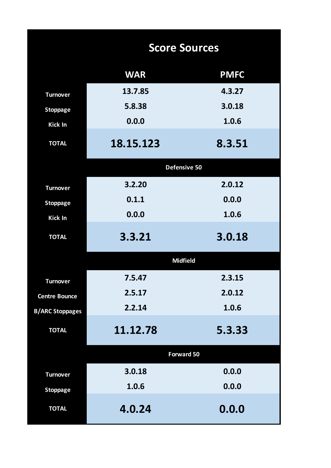|                        | <b>Score Sources</b> |             |  |  |  |  |  |  |  |  |
|------------------------|----------------------|-------------|--|--|--|--|--|--|--|--|
|                        | <b>WAR</b>           | <b>PMFC</b> |  |  |  |  |  |  |  |  |
| <b>Turnover</b>        | 13.7.85              | 4.3.27      |  |  |  |  |  |  |  |  |
| <b>Stoppage</b>        | 5.8.38               | 3.0.18      |  |  |  |  |  |  |  |  |
| <b>Kick In</b>         | 0.0.0                | 1.0.6       |  |  |  |  |  |  |  |  |
| <b>TOTAL</b>           | 18.15.123            | 8.3.51      |  |  |  |  |  |  |  |  |
|                        | Defensive 50         |             |  |  |  |  |  |  |  |  |
| <b>Turnover</b>        | 3.2.20               | 2.0.12      |  |  |  |  |  |  |  |  |
| <b>Stoppage</b>        | 0.1.1                | 0.0.0       |  |  |  |  |  |  |  |  |
| Kick In                | 0.0.0                | 1.0.6       |  |  |  |  |  |  |  |  |
| <b>TOTAL</b>           | 3.3.21               | 3.0.18      |  |  |  |  |  |  |  |  |
|                        | <b>Midfield</b>      |             |  |  |  |  |  |  |  |  |
| <b>Turnover</b>        | 7.5.47               | 2.3.15      |  |  |  |  |  |  |  |  |
| <b>Centre Bounce</b>   | 2.5.17               | 2.0.12      |  |  |  |  |  |  |  |  |
| <b>B/ARC Stoppages</b> | 2.2.14               | 1.0.6       |  |  |  |  |  |  |  |  |
| <b>TOTAL</b>           | 11.12.78             | 5.3.33      |  |  |  |  |  |  |  |  |
|                        | <b>Forward 50</b>    |             |  |  |  |  |  |  |  |  |
| <b>Turnover</b>        | 3.0.18               | 0.0.0       |  |  |  |  |  |  |  |  |
| <b>Stoppage</b>        | 1.0.6                | 0.0.0       |  |  |  |  |  |  |  |  |
| <b>TOTAL</b>           | 4.0.24               | 0.0.0       |  |  |  |  |  |  |  |  |